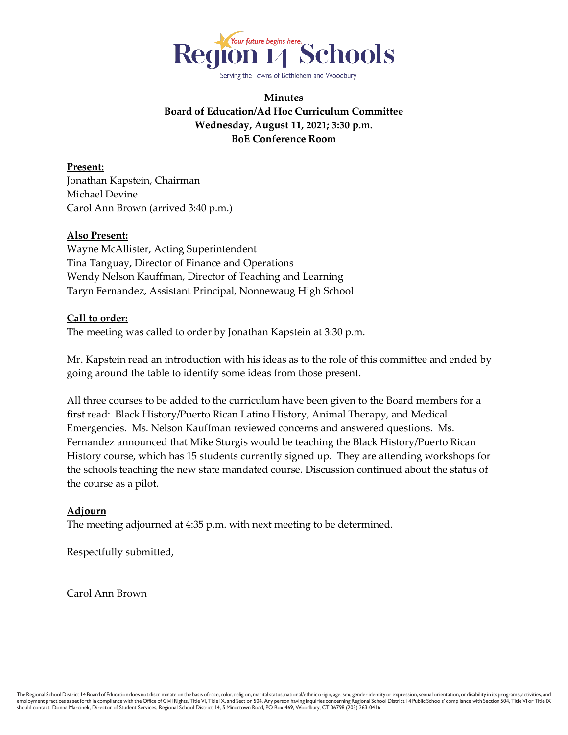

Serving the Towns of Bethlehem and Woodbury

# **Minutes Board of Education/Ad Hoc Curriculum Committee Wednesday, August 11, 2021; 3:30 p.m. BoE Conference Room**

**Present:** Jonathan Kapstein, Chairman Michael Devine Carol Ann Brown (arrived 3:40 p.m.)

## **Also Present:**

Wayne McAllister, Acting Superintendent Tina Tanguay, Director of Finance and Operations Wendy Nelson Kauffman, Director of Teaching and Learning Taryn Fernandez, Assistant Principal, Nonnewaug High School

## **Call to order:**

The meeting was called to order by Jonathan Kapstein at 3:30 p.m.

Mr. Kapstein read an introduction with his ideas as to the role of this committee and ended by going around the table to identify some ideas from those present.

All three courses to be added to the curriculum have been given to the Board members for a first read: Black History/Puerto Rican Latino History, Animal Therapy, and Medical Emergencies. Ms. Nelson Kauffman reviewed concerns and answered questions. Ms. Fernandez announced that Mike Sturgis would be teaching the Black History/Puerto Rican History course, which has 15 students currently signed up. They are attending workshops for the schools teaching the new state mandated course. Discussion continued about the status of the course as a pilot.

#### **Adjourn**

The meeting adjourned at 4:35 p.m. with next meeting to be determined.

Respectfully submitted,

Carol Ann Brown